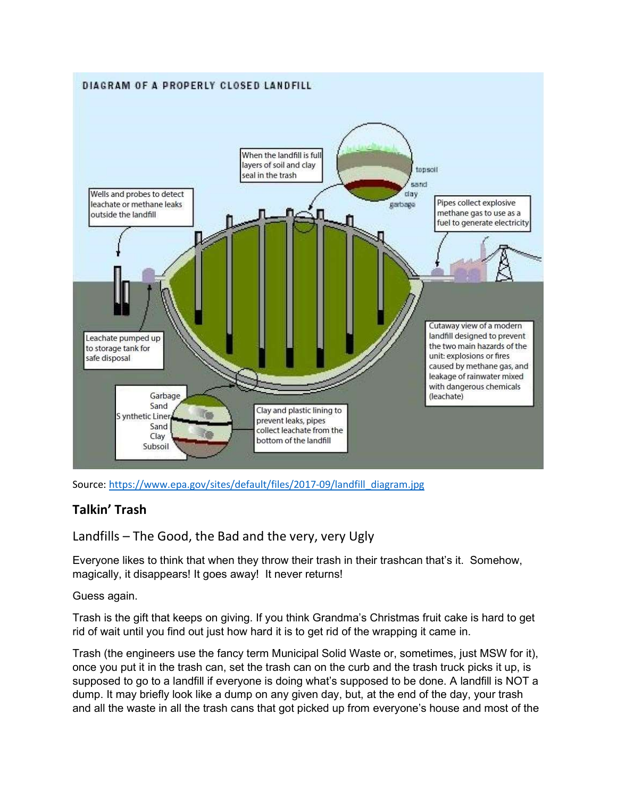

Source: https://www.epa.gov/sites/default/files/2017-09/landfill\_diagram.jpg

## Talkin' Trash

Landfills – The Good, the Bad and the very, very Ugly

Everyone likes to think that when they throw their trash in their trashcan that's it. Somehow, magically, it disappears! It goes away! It never returns!

Guess again.

Trash is the gift that keeps on giving. If you think Grandma's Christmas fruit cake is hard to get rid of wait until you find out just how hard it is to get rid of the wrapping it came in.

Trash (the engineers use the fancy term Municipal Solid Waste or, sometimes, just MSW for it), once you put it in the trash can, set the trash can on the curb and the trash truck picks it up, is supposed to go to a landfill if everyone is doing what's supposed to be done. A landfill is NOT a dump. It may briefly look like a dump on any given day, but, at the end of the day, your trash and all the waste in all the trash cans that got picked up from everyone's house and most of the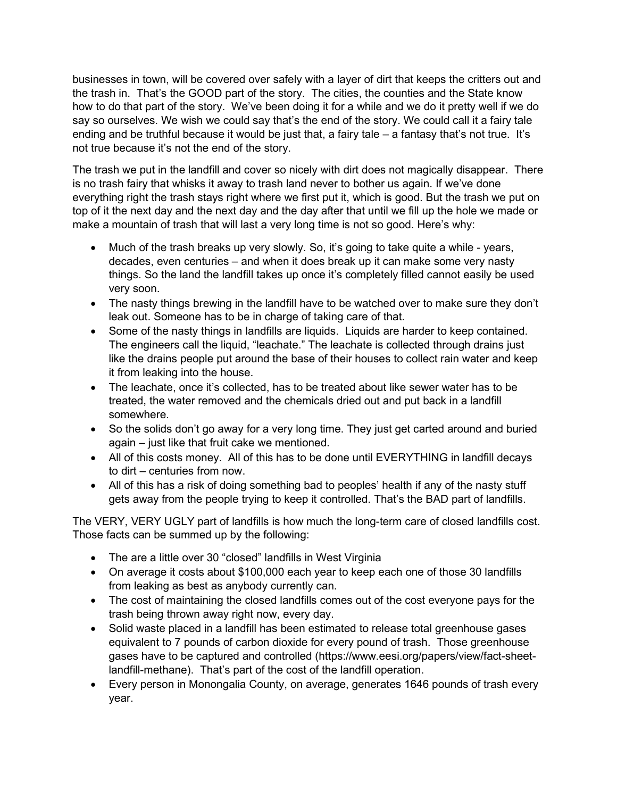businesses in town, will be covered over safely with a layer of dirt that keeps the critters out and the trash in. That's the GOOD part of the story. The cities, the counties and the State know how to do that part of the story. We've been doing it for a while and we do it pretty well if we do say so ourselves. We wish we could say that's the end of the story. We could call it a fairy tale ending and be truthful because it would be just that, a fairy tale – a fantasy that's not true. It's not true because it's not the end of the story.

The trash we put in the landfill and cover so nicely with dirt does not magically disappear. There is no trash fairy that whisks it away to trash land never to bother us again. If we've done everything right the trash stays right where we first put it, which is good. But the trash we put on top of it the next day and the next day and the day after that until we fill up the hole we made or make a mountain of trash that will last a very long time is not so good. Here's why:

- Much of the trash breaks up very slowly. So, it's going to take quite a while years, decades, even centuries – and when it does break up it can make some very nasty things. So the land the landfill takes up once it's completely filled cannot easily be used very soon.
- The nasty things brewing in the landfill have to be watched over to make sure they don't leak out. Someone has to be in charge of taking care of that.
- Some of the nasty things in landfills are liquids. Liquids are harder to keep contained. The engineers call the liquid, "leachate." The leachate is collected through drains just like the drains people put around the base of their houses to collect rain water and keep it from leaking into the house.
- The leachate, once it's collected, has to be treated about like sewer water has to be treated, the water removed and the chemicals dried out and put back in a landfill somewhere.
- So the solids don't go away for a very long time. They just get carted around and buried again – just like that fruit cake we mentioned.
- All of this costs money. All of this has to be done until EVERYTHING in landfill decays to dirt – centuries from now.
- All of this has a risk of doing something bad to peoples' health if any of the nasty stuff gets away from the people trying to keep it controlled. That's the BAD part of landfills.

The VERY, VERY UGLY part of landfills is how much the long-term care of closed landfills cost. Those facts can be summed up by the following:

- The are a little over 30 "closed" landfills in West Virginia
- On average it costs about \$100,000 each year to keep each one of those 30 landfills from leaking as best as anybody currently can.
- The cost of maintaining the closed landfills comes out of the cost everyone pays for the trash being thrown away right now, every day.
- Solid waste placed in a landfill has been estimated to release total greenhouse gases equivalent to 7 pounds of carbon dioxide for every pound of trash. Those greenhouse gases have to be captured and controlled (https://www.eesi.org/papers/view/fact-sheetlandfill-methane). That's part of the cost of the landfill operation.
- Every person in Monongalia County, on average, generates 1646 pounds of trash every year.